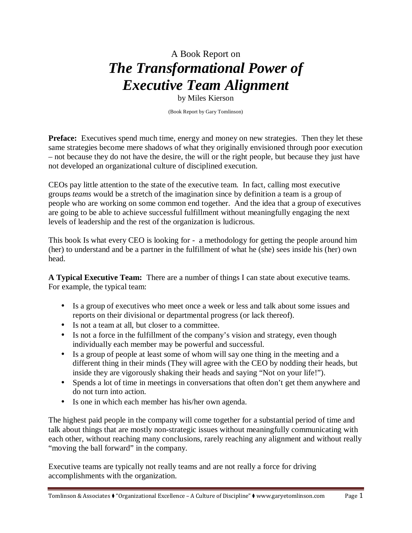## A Book Report on *The Transformational Power of Executive Team Alignment*

by Miles Kierson

(Book Report by Gary Tomlinson)

**Preface:** Executives spend much time, energy and money on new strategies. Then they let these same strategies become mere shadows of what they originally envisioned through poor execution – not because they do not have the desire, the will or the right people, but because they just have not developed an organizational culture of disciplined execution.

CEOs pay little attention to the state of the executive team. In fact, calling most executive groups *teams* would be a stretch of the imagination since by definition a team is a group of people who are working on some common end together. And the idea that a group of executives are going to be able to achieve successful fulfillment without meaningfully engaging the next levels of leadership and the rest of the organization is ludicrous.

This book Is what every CEO is looking for - a methodology for getting the people around him (her) to understand and be a partner in the fulfillment of what he (she) sees inside his (her) own head.

**A Typical Executive Team:** There are a number of things I can state about executive teams. For example, the typical team:

- Is a group of executives who meet once a week or less and talk about some issues and reports on their divisional or departmental progress (or lack thereof).
- Is not a team at all, but closer to a committee.
- Is not a force in the fulfillment of the company's vision and strategy, even though individually each member may be powerful and successful.
- Is a group of people at least some of whom will say one thing in the meeting and a different thing in their minds (They will agree with the CEO by nodding their heads, but inside they are vigorously shaking their heads and saying "Not on your life!").
- Spends a lot of time in meetings in conversations that often don't get them anywhere and do not turn into action.
- Is one in which each member has his/her own agenda.

The highest paid people in the company will come together for a substantial period of time and talk about things that are mostly non-strategic issues without meaningfully communicating with each other, without reaching many conclusions, rarely reaching any alignment and without really "moving the ball forward" in the company.

Executive teams are typically not really teams and are not really a force for driving accomplishments with the organization.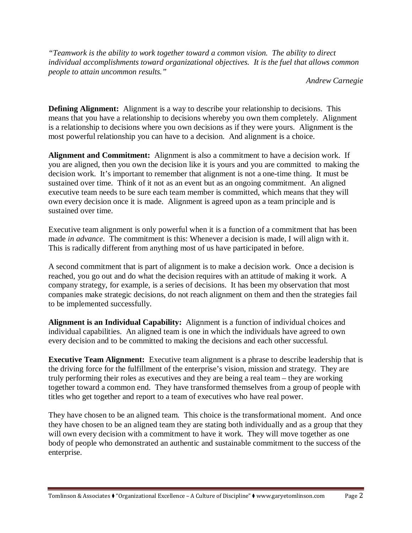*"Teamwork is the ability to work together toward a common vision. The ability to direct individual accomplishments toward organizational objectives. It is the fuel that allows common people to attain uncommon results."* 

*Andrew Carnegie* 

**Defining Alignment:** Alignment is a way to describe your relationship to decisions. This means that you have a relationship to decisions whereby you own them completely. Alignment is a relationship to decisions where you own decisions as if they were yours. Alignment is the most powerful relationship you can have to a decision. And alignment is a choice.

**Alignment and Commitment:** Alignment is also a commitment to have a decision work. If you are aligned, then you own the decision like it is yours and you are committed to making the decision work. It's important to remember that alignment is not a one-time thing. It must be sustained over time. Think of it not as an event but as an ongoing commitment. An aligned executive team needs to be sure each team member is committed, which means that they will own every decision once it is made. Alignment is agreed upon as a team principle and is sustained over time.

Executive team alignment is only powerful when it is a function of a commitment that has been made *in advance*. The commitment is this: Whenever a decision is made, I will align with it. This is radically different from anything most of us have participated in before.

A second commitment that is part of alignment is to make a decision work. Once a decision is reached, you go out and do what the decision requires with an attitude of making it work. A company strategy, for example, is a series of decisions. It has been my observation that most companies make strategic decisions, do not reach alignment on them and then the strategies fail to be implemented successfully.

**Alignment is an Individual Capability:** Alignment is a function of individual choices and individual capabilities. An aligned team is one in which the individuals have agreed to own every decision and to be committed to making the decisions and each other successful.

**Executive Team Alignment:** Executive team alignment is a phrase to describe leadership that is the driving force for the fulfillment of the enterprise's vision, mission and strategy. They are truly performing their roles as executives and they are being a real team – they are working together toward a common end. They have transformed themselves from a group of people with titles who get together and report to a team of executives who have real power.

They have chosen to be an aligned team. This choice is the transformational moment. And once they have chosen to be an aligned team they are stating both individually and as a group that they will own every decision with a commitment to have it work. They will move together as one body of people who demonstrated an authentic and sustainable commitment to the success of the enterprise.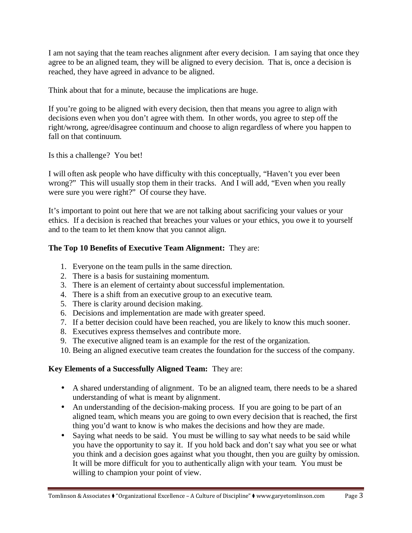I am not saying that the team reaches alignment after every decision. I am saying that once they agree to be an aligned team, they will be aligned to every decision. That is, once a decision is reached, they have agreed in advance to be aligned.

Think about that for a minute, because the implications are huge.

If you're going to be aligned with every decision, then that means you agree to align with decisions even when you don't agree with them. In other words, you agree to step off the right/wrong, agree/disagree continuum and choose to align regardless of where you happen to fall on that continuum.

Is this a challenge? You bet!

I will often ask people who have difficulty with this conceptually, "Haven't you ever been wrong?" This will usually stop them in their tracks. And I will add, "Even when you really were sure you were right?" Of course they have.

It's important to point out here that we are not talking about sacrificing your values or your ethics. If a decision is reached that breaches your values or your ethics, you owe it to yourself and to the team to let them know that you cannot align.

## **The Top 10 Benefits of Executive Team Alignment:** They are:

- 1. Everyone on the team pulls in the same direction.
- 2. There is a basis for sustaining momentum.
- 3. There is an element of certainty about successful implementation.
- 4. There is a shift from an executive group to an executive team.
- 5. There is clarity around decision making.
- 6. Decisions and implementation are made with greater speed.
- 7. If a better decision could have been reached, you are likely to know this much sooner.
- 8. Executives express themselves and contribute more.
- 9. The executive aligned team is an example for the rest of the organization.
- 10. Being an aligned executive team creates the foundation for the success of the company.

## **Key Elements of a Successfully Aligned Team:** They are:

- A shared understanding of alignment. To be an aligned team, there needs to be a shared understanding of what is meant by alignment.
- An understanding of the decision-making process. If you are going to be part of an aligned team, which means you are going to own every decision that is reached, the first thing you'd want to know is who makes the decisions and how they are made.
- Saying what needs to be said. You must be willing to say what needs to be said while you have the opportunity to say it. If you hold back and don't say what you see or what you think and a decision goes against what you thought, then you are guilty by omission. It will be more difficult for you to authentically align with your team. You must be willing to champion your point of view.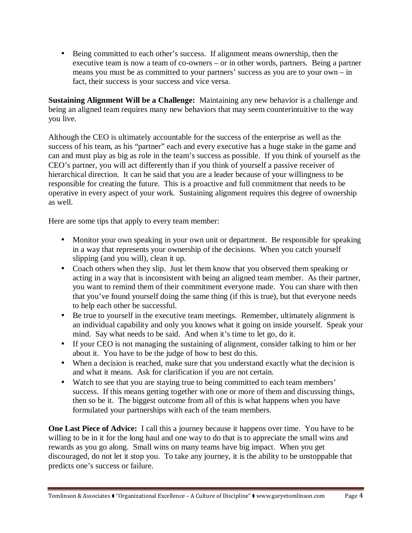• Being committed to each other's success. If alignment means ownership, then the executive team is now a team of co-owners – or in other words, partners. Being a partner means you must be as committed to your partners' success as you are to your own – in fact, their success is your success and vice versa.

**Sustaining Alignment Will be a Challenge:** Maintaining any new behavior is a challenge and being an aligned team requires many new behaviors that may seem counterintuitive to the way you live.

Although the CEO is ultimately accountable for the success of the enterprise as well as the success of his team, as his "partner" each and every executive has a huge stake in the game and can and must play as big as role in the team's success as possible. If you think of yourself as the CEO's partner, you will act differently than if you think of yourself a passive receiver of hierarchical direction. It can be said that you are a leader because of your willingness to be responsible for creating the future. This is a proactive and full commitment that needs to be operative in every aspect of your work. Sustaining alignment requires this degree of ownership as well.

Here are some tips that apply to every team member:

- Monitor your own speaking in your own unit or department. Be responsible for speaking in a way that represents your ownership of the decisions. When you catch yourself slipping (and you will), clean it up.
- Coach others when they slip. Just let them know that you observed them speaking or acting in a way that is inconsistent with being an aligned team member. As their partner, you want to remind them of their commitment everyone made. You can share with then that you've found yourself doing the same thing (if this is true), but that everyone needs to help each other be successful.
- Be true to yourself in the executive team meetings. Remember, ultimately alignment is an individual capability and only you knows what it going on inside yourself. Speak your mind. Say what needs to be said. And when it's time to let go, do it.
- If your CEO is not managing the sustaining of alignment, consider talking to him or her about it. You have to be the judge of how to best do this.
- When a decision is reached, make sure that you understand exactly what the decision is and what it means. Ask for clarification if you are not certain.
- Watch to see that you are staying true to being committed to each team members' success. If this means getting together with one or more of them and discussing things, then so be it. The biggest outcome from all of this is what happens when you have formulated your partnerships with each of the team members.

**One Last Piece of Advice:** I call this a journey because it happens over time. You have to be willing to be in it for the long haul and one way to do that is to appreciate the small wins and rewards as you go along. Small wins on many teams have big impact. When you get discouraged, do not let it stop you. To take any journey, it is the ability to be unstoppable that predicts one's success or failure.